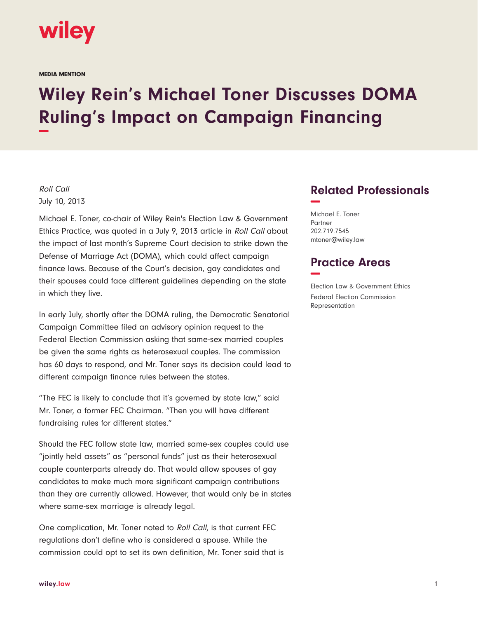

MEDIA MENTION

## **Wiley Rein's Michael Toner Discusses DOMA Ruling's Impact on Campaign Financing −**

## Roll Call July 10, 2013

Michael E. Toner, co-chair of Wiley Rein's Election Law & Government Ethics Practice, was quoted in a July 9, 2013 article in Roll Call about the impact of last month's Supreme Court decision to strike down the Defense of Marriage Act (DOMA), which could affect campaign finance laws. Because of the Court's decision, gay candidates and their spouses could face different guidelines depending on the state in which they live.

In early July, shortly after the DOMA ruling, the Democratic Senatorial Campaign Committee filed an advisory opinion request to the Federal Election Commission asking that same-sex married couples be given the same rights as heterosexual couples. The commission has 60 days to respond, and Mr. Toner says its decision could lead to different campaign finance rules between the states.

"The FEC is likely to conclude that it's governed by state law," said Mr. Toner, a former FEC Chairman. "Then you will have different fundraising rules for different states."

Should the FEC follow state law, married same-sex couples could use "jointly held assets" as "personal funds" just as their heterosexual couple counterparts already do. That would allow spouses of gay candidates to make much more significant campaign contributions than they are currently allowed. However, that would only be in states where same-sex marriage is already legal.

One complication, Mr. Toner noted to Roll Call, is that current FEC regulations don't define who is considered a spouse. While the commission could opt to set its own definition, Mr. Toner said that is

## **Related Professionals −**

Michael E. Toner Partner 202.719.7545 mtoner@wiley.law

## **Practice Areas −**

Election Law & Government Ethics Federal Election Commission Representation